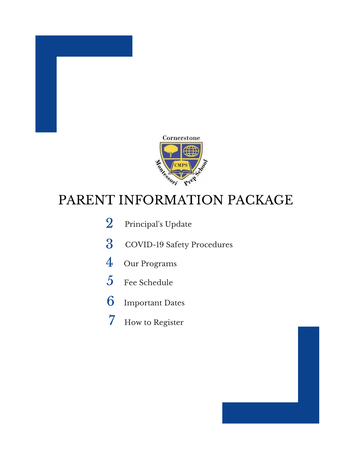

## PARENT INFORMATION PACKAGE

- 2 Principal's Update
- COVID-19 Safety Procedures
- Our Programs
- Fee Schedule
- Important Dates
- How to Register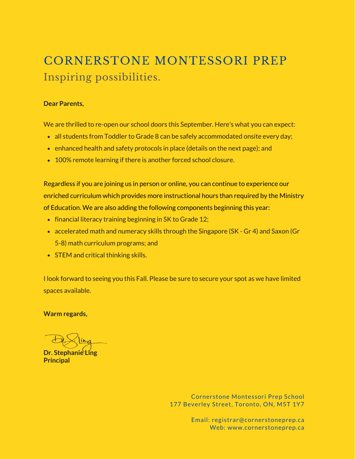## CORNERSTONE MONTESSORI PREP Inspiring possibilities.

#### **Dear Parents,**

We are thrilled to re-open our school doors this September. Here's what you can expect:

- all students from Toddler to Grade 8 can be safely accommodated onsite every day;
- $\bullet$  enhanced health and safety protocols in place (details on the next page); and
- 100% remote learning if there is another forced school closure.

Regardless if you are joining us in person or online, you can continue to experience our enriched curriculum which provides more instructional hours than required by the Ministry of Education. We are also adding the following components beginning this year:

- $\bullet$  financial literacy training beginning in SK to Grade 12;
- accelerated math and numeracy skills through the Singapore (SK Gr 4) and Saxon (Gr 5-8) math curriculum programs; and
- STEM and critical thinking skills.

I look forward to seeing you this Fall. Please be sure to secure your spot as we have limited spaces available.

**Warm regards,**

**Dr. Stephanie Ling Principal**

Cornerstone Montessori Prep School 177 Beverley Street, Toronto, ON, M5T 1Y7

> Email: registrar@cornerstoneprep.ca Web: www.cornerstoneprep.ca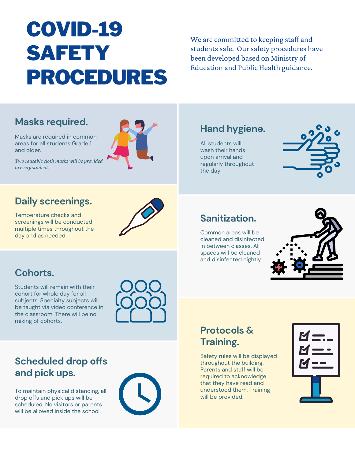# COVID-19 SAFETY PROCEDURES

We are committed to keeping staff and students safe. Our safety procedures have been developed based on Ministry of Education and Public Health guidance.

## **Masks required.**

Masks are required in common areas for all students Grade 1 and older.

*Two reusablecloth masks will be provided to every student.*



## **Daily screenings.**

Temperature checks and screenings will be conducted multiple times throughout the day and as needed.



## **Cohorts.**

Students will remain with their cohort for whole day for all subjects. Specialty subjects will be taught via video conference in the classroom. There will be no mixing of cohorts.



## **Scheduled drop offs and pick ups.**

To maintain physical distancing, all drop offs and pick ups will be scheduled. No visitors or parents will be allowed inside the school.



## **Hand hygiene.**

All students will wash their hands upon arrival and regularly throughout the day.



## **Sanitization.**

Common areas will be cleaned and disinfected in between classes. All spaces will be cleaned and disinfected nightly.



## **Protocols & Training.**

Safety rules will be displayed throughout the building. Parents and staff will be required to acknowledge that they have read and understood them. Training will be provided.

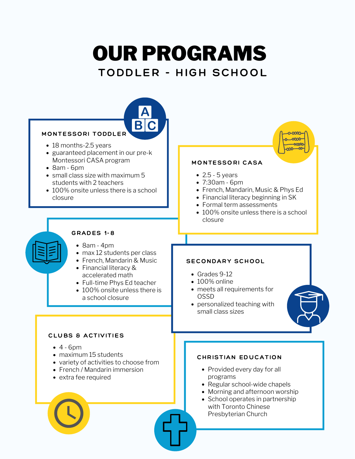# OUR PROGRAMS

## TODDLER - HIGH SCHOOL

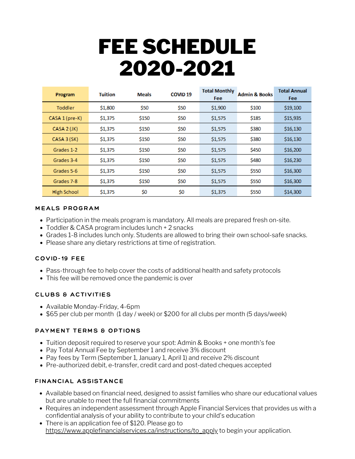# FEE SCHEDULE 2020-2021

| Program            | <b>Tuition</b> | <b>Meals</b> | COVID <sub>19</sub> | <b>Total Monthly</b><br>Fee | <b>Admin &amp; Books</b> | <b>Total Annual</b><br><b>Fee</b> |
|--------------------|----------------|--------------|---------------------|-----------------------------|--------------------------|-----------------------------------|
| <b>Toddler</b>     | \$1,800        | \$50         | \$50                | \$1,900                     | \$100                    | \$19,100                          |
| CASA 1 (pre-K)     | \$1,375        | \$150        | \$50                | \$1,575                     | \$185                    | \$15,935                          |
| CASA 2 (JK)        | \$1,375        | \$150        | \$50                | \$1,575                     | \$380                    | \$16,130                          |
| CASA 3 (SK)        | \$1,375        | \$150        | \$50                | \$1,575                     | \$380                    | \$16,130                          |
| Grades 1-2         | \$1,375        | \$150        | \$50                | \$1,575                     | \$450                    | \$16,200                          |
| Grades 3-4         | \$1,375        | \$150        | \$50                | \$1,575                     | \$480                    | \$16,230                          |
| Grades 5-6         | \$1,375        | \$150        | \$50                | \$1,575                     | \$550                    | \$16,300                          |
| Grades 7-8         | \$1,375        | \$150        | \$50                | \$1,575                     | \$550                    | \$16,300                          |
| <b>High School</b> | \$1,375        | \$0          | \$0                 | \$1,375                     | \$550                    | \$14,300                          |

#### MEALS PROGRAM

- Participation in the meals program is mandatory. All meals are prepared fresh on-site.
- Toddler & CASA program includes lunch + 2 snacks
- Grades 1-8 includes lunch only. Students are allowed to bring their own school-safe snacks.
- Please share any dietary restrictions at time of registration.

#### COVID-19 FEE

- Pass-through fee to help cover the costs of additional health and safety protocols
- This fee will be removed once the pandemic is over

### CLUBS & ACTIVITIES

- Available Monday-Friday, 4-6pm
- \$65 per club per month (1 day / week) or \$200 for all clubs per month (5 days/week)

### PAYMENT TERMS & OPTIONS

- Tuition deposit required to reserve your spot: Admin & Books + one month's fee
- Pay Total Annual Fee by September 1 and receive 3% discount
- Pay fees by Term (September 1, January 1, April 1) and receive 2% discount
- Pre-authorized debit, e-transfer, credit card and post-dated cheques accepted

### FINANCIAL ASSISTANCE

- Available based on financial need, designed to assist families who share our educational values but are unable to meet the full financial commitments
- Requires an independent assessment through Apple Financial Services that provides us with a confidential analysis of your ability to contribute to your child's education
- There is an application fee of \$120. Please go to [https://www.applefinancialservices.ca/instructions/to\\_apply](https://www.applefinancialservices.ca/instructions/to_apply) to begin your application.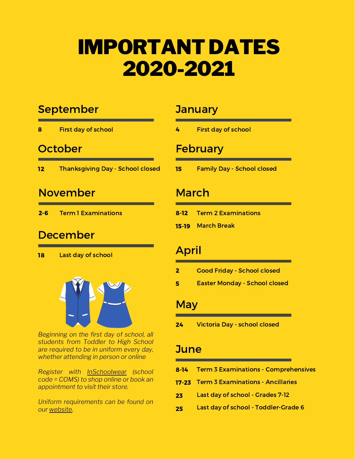## IMPORTANT DATES 2020-2021

## September

First day of school 8

## **October**

Thanksgiving Day - School closed 12

## November

Term 1 Examinations 2-6

## December

Last day of school 18



*Beginning on the first day of school, all students from Toddler to High School are required to be in uniform every day, whether attending in person or online*

*Register with [InSchoolwear](https://inschoolwear.com/) (school code = COMS) to shop online or book an appointment to visit their store.*

*Uniform requirements can be found on our [website](http://cornerstoneprep.ca/uniform_requirements).*

## **January**

First day of school 4

## **February**

Family Day - School closed 15

## March

- Term 2 Examinations 8-12
- 15-19 March Break

## April

- Good Friday School closed 2
- Easter Monday School closed 5

### **May**

Victoria Day - school closed 24

## **June**

- Term 3 Examinations Comprehensives 8-14
- Term 3 Examinations Ancillaries 17-23
- Last day of school Grades 7-12 23
- Last day of school Toddler-Grade 6 25